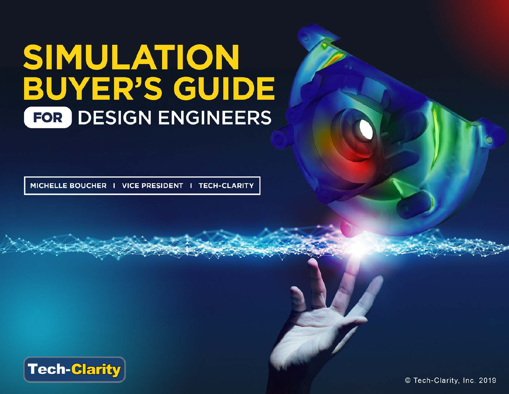# SIMULATION **BUYER'S GUIDE** FOR DESIGN ENGINEERS

MICHELLE BOUCHER | VICE PRESIDENT | TECH-CLARITY



© Tech-Clarity, Inc. 2019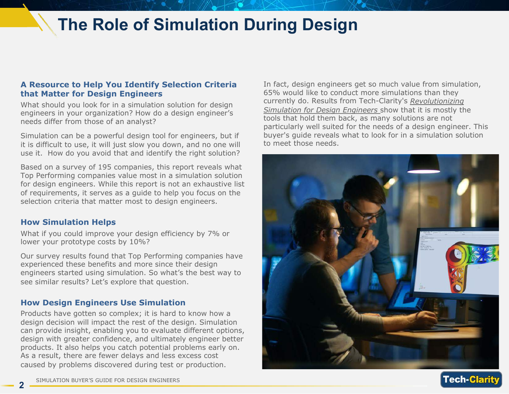## **The Role of Simulation During Design**

#### **A Resource to Help You Identify Selection Criteria that Matter for Design Engineers**

What should you look for in a simulation solution for design engineers in your organization? How do a design engineer's needs differ from those of an analyst?

Simulation can be a powerful design tool for engineers, but if it is difficult to use, it will just slow you down, and no one will use it. How do you avoid that and identify the right solution?

Based on a survey of 195 companies, this report reveals what Top Performing companies value most in a simulation solution for design engineers. While this report is not an exhaustive list of requirements, it serves as a guide to help you focus on the selection criteria that matter most to design engineers.

#### **How Simulation Helps**

What if you could improve your design efficiency by 7% or lower your prototype costs by 10%?

Our survey results found that Top Performing companies have experienced these benefits and more since their design engineers started using simulation. So what's the best way to see similar results? Let's explore that question.

#### **How Design Engineers Use Simulation**

Products have gotten so complex; it is hard to know how a design decision will impact the rest of the design. Simulation can provide insight, enabling you to evaluate different options, design with greater confidence, and ultimately engineer better products. It also helps you catch potential problems early on. As a result, there are fewer delays and less excess cost caused by problems discovered during test or production.

In fact, design engineers get so much value from simulation, 65% would like to conduct more simulations than they currently do. Results from Tech-Clarity's *[Revolutionizing](https://www.ptc.com/en/resources/cad/buyers-guide/simulation-for-design-engineers)  [Simulation for Design Engineers](https://www.ptc.com/en/resources/cad/buyers-guide/simulation-for-design-engineers)* show that it is mostly the tools that hold them back, as many solutions are not particularly well suited for the needs of a design engineer. This buyer's guide reveals what to look for in a simulation solution to meet those needs.



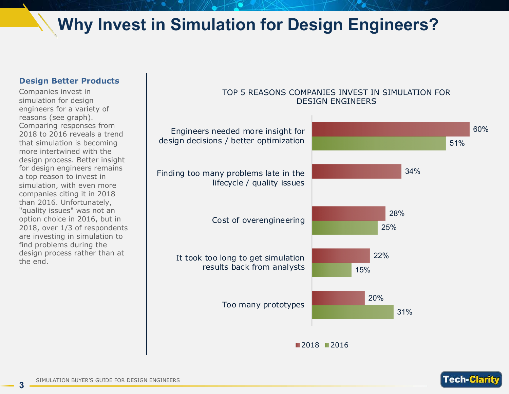## **Why Invest in Simulation for Design Engineers?**

#### **Design Better Products**

Companies invest in simulation for design engineers for a variety of reasons (see graph). Comparing responses from 2018 to 2016 reveals a trend that simulation is becoming more intertwined with the design process. Better insight for design engineers remains a top reason to invest in simulation, with even more companies citing it in 2018 than 2016. Unfortunately, "quality issues" was not an option choice in 2016, but in 2018, over 1/3 of respondents are investing in simulation to find problems during the design process rather than at the end.



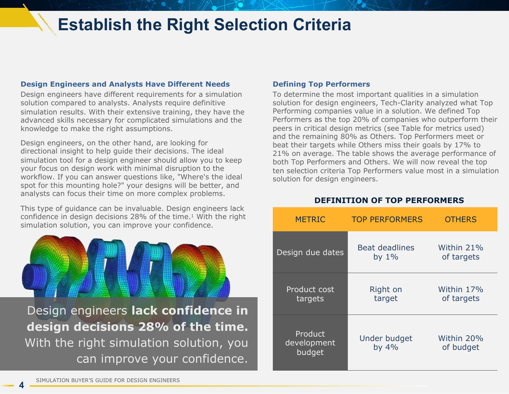### **Establish the Right Selection Criteria**

#### **Design Engineers and Analysts Have Different Needs**

Design engineers have different requirements for a simulation solution compared to analysts. Analysts require definitive simulation results. With their extensive training, they have the advanced skills necessary for complicated simulations and the knowledge to make the right assumptions.

Design engineers, on the other hand, are looking for directional insight to help guide their decisions. The ideal simulation tool for a design engineer should allow you to keep your focus on design work with minimal disruption to the workflow. If you can answer questions like, "Where's the ideal spot for this mounting hole?" your designs will be better, and analysts can focus their time on more complex problems.

This type of guidance can be invaluable. Design engineers lack confidence in design decisions 28% of the time.1 With the right simulation solution, you can improve your confidence.

Design engineers **lack confidence in design decisions 28% of the time.**  With the right simulation solution, you can improve your confidence.

#### **Defining Top Performers**

To determine the most important qualities in a simulation solution for design engineers, Tech-Clarity analyzed what Top Performing companies value in a solution. We defined Top Performers as the top 20% of companies who outperform their peers in critical design metrics (see Table for metrics used) and the remaining 80% as Others. Top Performers meet or beat their targets while Others miss their goals by 17% to 21% on average. The table shows the average performance of both Top Performers and Others. We will now reveal the top ten selection criteria Top Performers value most in a simulation solution for design engineers.

#### **DEFINITION OF TOP PERFORMERS**

| <b>METRIC</b>                    | <b>TOP PERFORMERS</b>             | <b>OTHERS</b>            |
|----------------------------------|-----------------------------------|--------------------------|
| Design due dates                 | <b>Beat deadlines</b><br>by $1\%$ | Within 21%<br>of targets |
| Product cost<br>targets          | Right on<br>target                | Within 17%<br>of targets |
| Product<br>development<br>budget | Under budget<br>by $4\%$          | Within 20%<br>of budget  |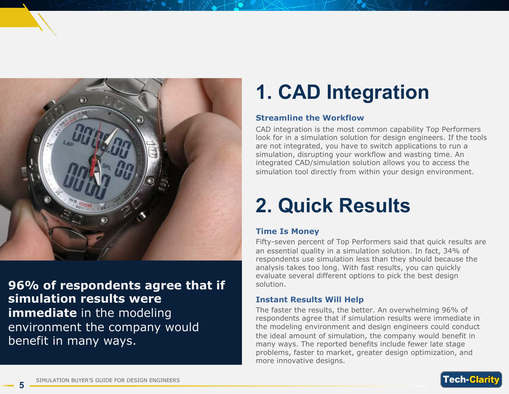

**96% of respondents agree that if simulation results were immediate** in the modeling environment the company would benefit in many ways.

## **1. CAD Integration**

#### **Streamline the Workflow**

CAD integration is the most common capability Top Performers look for in a simulation solution for design engineers. If the tools are not integrated, you have to switch applications to run a simulation, disrupting your workflow and wasting time. An integrated CAD/simulation solution allows you to access the simulation tool directly from within your design environment.

## **2. Quick Results**

#### **Time Is Money**

Fifty-seven percent of Top Performers said that quick results are an essential quality in a simulation solution. In fact, 34% of respondents use simulation less than they should because the analysis takes too long. With fast results, you can quickly evaluate several different options to pick the best design solution.

#### **Instant Results Will Help**

The faster the results, the better. An overwhelming 96% of respondents agree that if simulation results were immediate in the modeling environment and design engineers could conduct the ideal amount of simulation, the company would benefit in many ways. The reported benefits include fewer late stage problems, faster to market, greater design optimization, and more innovative designs.

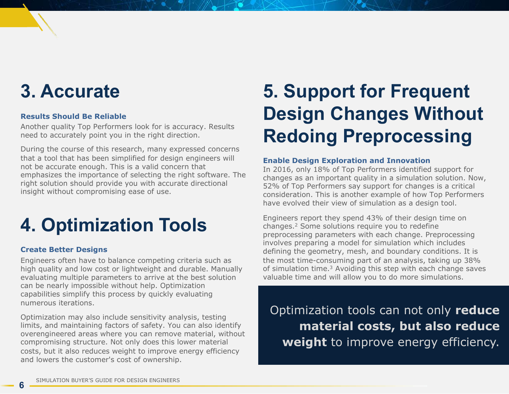## **3. Accurate**

#### **Results Should Be Reliable**

Another quality Top Performers look for is accuracy. Results need to accurately point you in the right direction.

During the course of this research, many expressed concerns that a tool that has been simplified for design engineers will not be accurate enough. This is a valid concern that emphasizes the importance of selecting the right software. The right solution should provide you with accurate directional insight without compromising ease of use.

## **4. Optimization Tools**

#### **Create Better Designs**

Engineers often have to balance competing criteria such as high quality and low cost or lightweight and durable. Manually evaluating multiple parameters to arrive at the best solution can be nearly impossible without help. Optimization capabilities simplify this process by quickly evaluating numerous iterations.

Optimization may also include sensitivity analysis, testing limits, and maintaining factors of safety. You can also identify overengineered areas where you can remove material, without compromising structure. Not only does this lower material costs, but it also reduces weight to improve energy efficiency and lowers the customer's cost of ownership.

## **5. Support for Frequent Design Changes Without Redoing Preprocessing**

#### **Enable Design Exploration and Innovation**

In 2016, only 18% of Top Performers identified support for changes as an important quality in a simulation solution. Now, 52% of Top Performers say support for changes is a critical consideration. This is another example of how Top Performers have evolved their view of simulation as a design tool.

Engineers report they spend 43% of their design time on changes.2 Some solutions require you to redefine preprocessing parameters with each change. Preprocessing involves preparing a model for simulation which includes defining the geometry, mesh, and boundary conditions. It is the most time-consuming part of an analysis, taking up 38% of simulation time.3 Avoiding this step with each change saves valuable time and will allow you to do more simulations.

Optimization tools can not only **reduce material costs, but also reduce weight** to improve energy efficiency.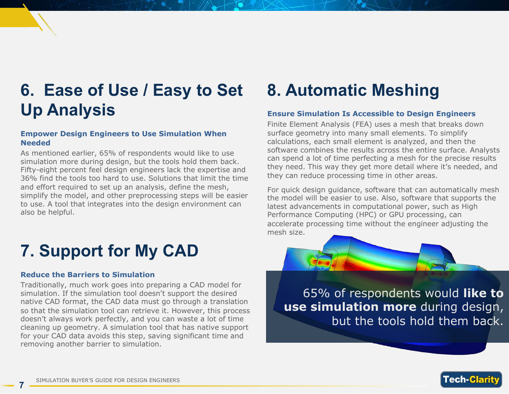## **6. Ease of Use / Easy to Set Up Analysis**

#### **Empower Design Engineers to Use Simulation When Needed**

As mentioned earlier, 65% of respondents would like to use simulation more during design, but the tools hold them back. Fifty-eight percent feel design engineers lack the expertise and 36% find the tools too hard to use. Solutions that limit the time and effort required to set up an analysis, define the mesh, simplify the model, and other preprocessing steps will be easier to use. A tool that integrates into the design environment can also be helpful.

## **7. Support for My CAD**

#### **Reduce the Barriers to Simulation**

Traditionally, much work goes into preparing a CAD model for simulation. If the simulation tool doesn't support the desired native CAD format, the CAD data must go through a translation so that the simulation tool can retrieve it. However, this process doesn't always work perfectly, and you can waste a lot of time cleaning up geometry. A simulation tool that has native support for your CAD data avoids this step, saving significant time and removing another barrier to simulation.

### **8. Automatic Meshing**

#### **Ensure Simulation Is Accessible to Design Engineers**

Finite Element Analysis (FEA) uses a mesh that breaks down surface geometry into many small elements. To simplify calculations, each small element is analyzed, and then the software combines the results across the entire surface. Analysts can spend a lot of time perfecting a mesh for the precise results they need. This way they get more detail where it's needed, and they can reduce processing time in other areas.

For quick design guidance, software that can automatically mesh the model will be easier to use. Also, software that supports the latest advancements in computational power, such as High Performance Computing (HPC) or GPU processing, can accelerate processing time without the engineer adjusting the mesh size.

65% of respondents would **like to use simulation more** during design, but the tools hold them back.

Tech-l

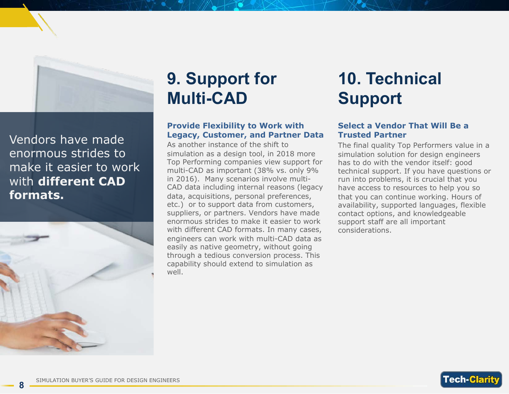

Vendors have made enormous strides to make it easier to work with **different CAD formats.**



**8**

## **9. Support for Multi-CAD**

#### **Provide Flexibility to Work with Legacy, Customer, and Partner Data**

As another instance of the shift to simulation as a design tool, in 2018 more Top Performing companies view support for multi-CAD as important (38% vs. only 9% in 2016). Many scenarios involve multi-CAD data including internal reasons (legacy data, acquisitions, personal preferences, etc.) or to support data from customers, suppliers, or partners. Vendors have made enormous strides to make it easier to work with different CAD formats. In many cases, engineers can work with multi-CAD data as easily as native geometry, without going through a tedious conversion process. This capability should extend to simulation as well.

## **10. Technical Support**

#### **Select a Vendor That Will Be a Trusted Partner**

The final quality Top Performers value in a simulation solution for design engineers has to do with the vendor itself: good technical support. If you have questions or run into problems, it is crucial that you have access to resources to help you so that you can continue working. Hours of availability, supported languages, flexible contact options, and knowledgeable support staff are all important considerations.

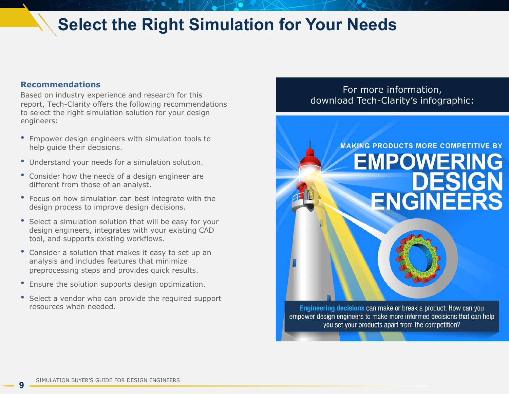### **Select the Right Simulation for Your Needs**

#### **Recommendations**

Based on industry experience and research for this report, Tech-Clarity offers the following recommendations to select the right simulation solution for your design engineers:

- Empower design engineers with simulation tools to help guide their decisions.
- Understand your needs for a simulation solution.
- Consider how the needs of a design engineer are different from those of an analyst.
- Focus on how simulation can best integrate with the design process to improve design decisions.
- Select a simulation solution that will be easy for your design engineers, integrates with your existing CAD tool, and supports existing workflows.
- Consider a solution that makes it easy to set up an analysis and includes features that minimize preprocessing steps and provides quick results.
- Ensure the solution supports design optimization.
- Select a vendor who can provide the required support resources when needed.

#### For more information, [download Tech-Clarity's infographic:](https://www.ptc.com/-/media/Files/PDFs/CAD/Creo/simulation-empowering-design-engineers.pdf)

## **MAKING PRODUCTS MORE COMPETITIVE BY EMPOWERING** DESIGN **ENGINEERS**

Engineering decisions can make or break a product. How can you empower design engineers to make more informed decisions that can help you set your products apart from the competition?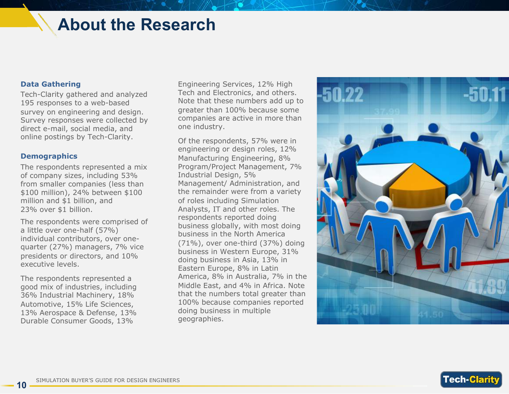### **About the Research**

#### **Data Gathering**

Tech-Clarity gathered and analyzed 195 responses to a web-based survey on engineering and design. Survey responses were collected by direct e-mail, social media, and online postings by Tech-Clarity.

#### **Demographics**

The respondents represented a mix of company sizes, including 53% from smaller companies (less than \$100 million), 24% between \$100 million and \$1 billion, and 23% over \$1 billion.

The respondents were comprised of a little over one-half (57%) individual contributors, over onequarter (27%) managers, 7% vice presidents or directors, and 10% executive levels.

The respondents represented a good mix of industries, including 36% Industrial Machinery, 18% Automotive, 15% Life Sciences, 13% Aerospace & Defense, 13% Durable Consumer Goods, 13%

Engineering Services, 12% High Tech and Electronics, and others. Note that these numbers add up to greater than 100% because some companies are active in more than one industry.

Of the respondents, 57% were in engineering or design roles, 12% Manufacturing Engineering, 8% Program/Project Management, 7% Industrial Design, 5% Management/ Administration, and the remainder were from a variety of roles including Simulation Analysts, IT and other roles. The respondents reported doing business globally, with most doing business in the North America (71%), over one-third (37%) doing business in Western Europe, 31% doing business in Asia, 13% in Eastern Europe, 8% in Latin America, 8% in Australia, 7% in the Middle East, and 4% in Africa. Note that the numbers total greater than 100% because companies reported doing business in multiple geographies.